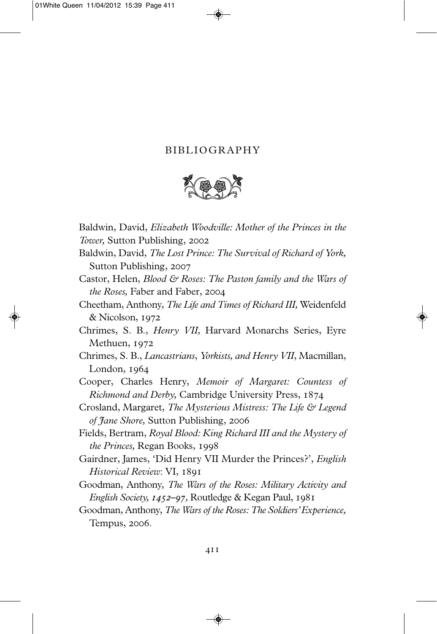## BIBLIOGRAPHY



Baldwin, David, *Elizabeth Woodville: Mother of the Princes in the Tower,* Sutton Publishing,

- Baldwin, David, *The Lost Prince: The Survival of Richard of York,* Sutton Publishing, 2007
- Castor, Helen, *Blood & Roses: The Paston family and the Wars of the Roses,* Faber and Faber,
- Cheetham, Anthony, *The Life and Times of Richard III,* Weidenfeld & Nicolson, 1972
- Chrimes, S. B., *Henry VII,* Harvard Monarchs Series, Eyre Methuen, 1972
- Chrimes, S. B., *Lancastrians*, *Yorkists, and Henry VII*, Macmillan, London, 1964
- Cooper, Charles Henry, *Memoir of Margaret: Countess of Richmond and Derby,* Cambridge University Press,
- Crosland, Margaret, *The Mysterious Mistress: The Life & Legend of Jane Shore,* Sutton Publishing,
- Fields, Bertram, *Royal Blood: King Richard III and the Mystery of the Princes,* Regan Books,
- Gairdner, James, 'Did Henry VII Murder the Princes?', *English Historical Review*: VI,
- Goodman, Anthony, *The Wars of the Roses: Military Activity and English Society, 1452*–97, Routledge & Kegan Paul, 1981
- Goodman, Anthony, *The Wars of the Roses: The Soldiers' Experience,* Tempus, 2006.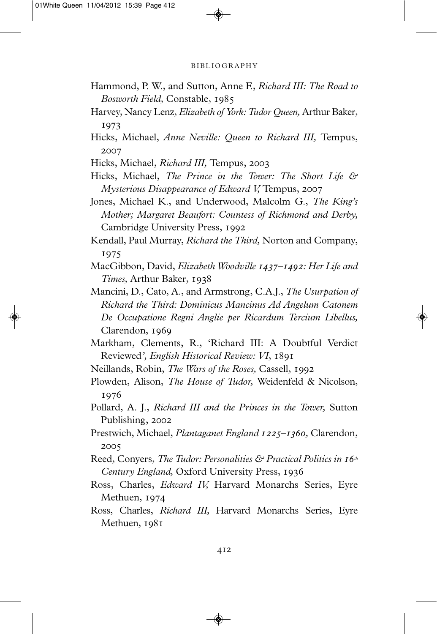## BIBLIOGRAPHY

- Hammond, P. W., and Sutton, Anne F., *Richard III: The Road to Bosworth Field,* Constable,
- Harvey, Nancy Lenz, *Elizabeth of York: Tudor Queen,* Arthur Baker, 1973
- Hicks, Michael, *Anne Neville: Queen to Richard III,* Tempus, 2007

Hicks, Michael, *Richard III,* Tempus,

Hicks, Michael, *The Prince in the Tower: The Short Life & Mysterious Disappearance of Edward V,* Tempus,

- MacGibbon, David, *Elizabeth Woodville 1437–1492: Her Life and Times,* Arthur Baker,
- Mancini, D., Cato, A., and Armstrong, C.A.J., *The Usurpation of Richard the Third: Dominicus Mancinus Ad Angelum Catonem De Occupatione Regni Anglie per Ricardum Tercium Libellus,* Clarendon, 1969
- Markham, Clements, R., 'Richard III: A Doubtful Verdict Reviewed*', English Historical Review: VI*,
- Neillands, Robin, *The Wars of the Roses,* Cassell,
- Plowden, Alison, *The House of Tudor,* Weidenfeld & Nicolson, 1976
- Pollard, A. J., *Richard III and the Princes in the Tower,* Sutton Publishing, 2002
- Prestwich, Michael, *Plantaganet England 1225–1360*, Clarendon, 2005
- Reed, Conyers, *The Tudor: Personalities & Practical Politics in 16<sup>th</sup> Century England,* Oxford University Press,
- Ross, Charles, *Edward IV,* Harvard Monarchs Series, Eyre Methuen, 1974
- Ross, Charles, *Richard III,* Harvard Monarchs Series, Eyre Methuen, 1981

Jones, Michael K., and Underwood, Malcolm G., *The King's Mother; Margaret Beaufort: Countess of Richmond and Derby,* Cambridge University Press,

Kendall, Paul Murray, *Richard the Third,* Norton and Company, 1975